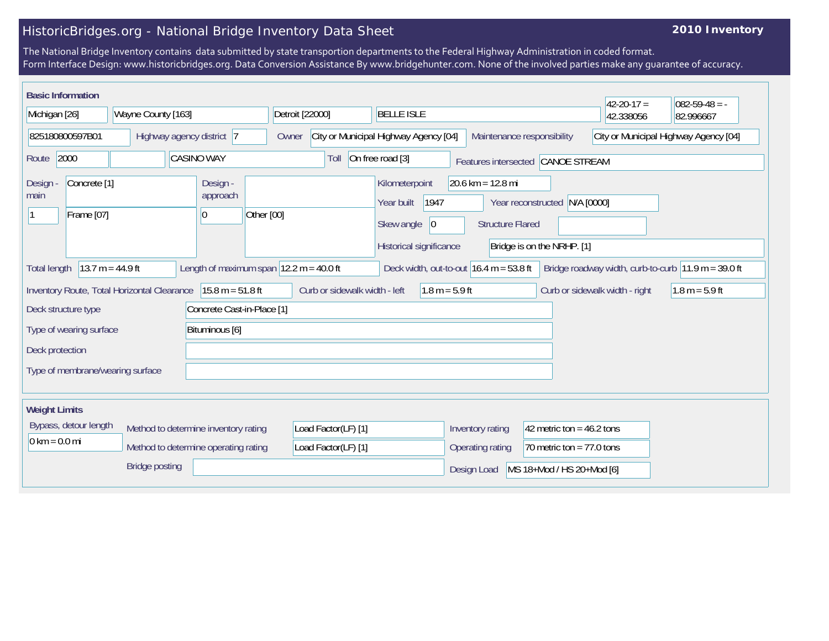## HistoricBridges.org - National Bridge Inventory Data Sheet

## **2010 Inventory**

The National Bridge Inventory contains data submitted by state transportion departments to the Federal Highway Administration in coded format. Form Interface Design: www.historicbridges.org. Data Conversion Assistance By www.bridgehunter.com. None of the involved parties make any guarantee of accuracy.

| <b>Basic Information</b>                                                                                                                                                                                       |                       |                                      |                                                                              |                                                                                       |                                                                      |                                          | $42 - 20 - 17 =$               | $082 - 59 - 48 = -$ |
|----------------------------------------------------------------------------------------------------------------------------------------------------------------------------------------------------------------|-----------------------|--------------------------------------|------------------------------------------------------------------------------|---------------------------------------------------------------------------------------|----------------------------------------------------------------------|------------------------------------------|--------------------------------|---------------------|
| Wayne County [163]<br>Michigan [26]                                                                                                                                                                            |                       | Detroit [22000]<br><b>BELLE ISLE</b> |                                                                              |                                                                                       |                                                                      | 42.338056                                | 82.996667                      |                     |
| 825180800597B01<br>Highway agency district 7                                                                                                                                                                   |                       |                                      | City or Municipal Highway Agency [04]<br>Maintenance responsibility<br>Owner |                                                                                       |                                                                      | City or Municipal Highway Agency [04]    |                                |                     |
| 2000<br><b>CASINO WAY</b><br>Route                                                                                                                                                                             |                       |                                      | Toll                                                                         | On free road [3]                                                                      | Features intersected                                                 | <b>CANOE STREAM</b>                      |                                |                     |
| Concrete <sup>[1]</sup><br>Design -<br>main<br>Frame [07]                                                                                                                                                      |                       | Design -<br>approach<br>$ 0\rangle$  | Other [00]                                                                   | Kilometerpoint<br> 1947<br>Year built<br>Skew angle<br> 0 <br>Historical significance | $20.6$ km = 12.8 mi<br>Year reconstructed<br><b>Structure Flared</b> | N/A [0000]<br>Bridge is on the NRHP. [1] |                                |                     |
| $13.7 m = 44.9 ft$<br>Length of maximum span $ 12.2 \text{ m} = 40.0 \text{ ft} $<br>Deck width, out-to-out $16.4$ m = 53.8 ft<br>Bridge roadway width, curb-to-curb $11.9 m = 39.0 ft$<br><b>Total length</b> |                       |                                      |                                                                              |                                                                                       |                                                                      |                                          |                                |                     |
| $15.8 m = 51.8 ft$<br>Inventory Route, Total Horizontal Clearance                                                                                                                                              |                       |                                      |                                                                              | Curb or sidewalk width - left<br>$1.8 m = 5.9 ft$                                     |                                                                      |                                          | Curb or sidewalk width - right | $1.8 m = 5.9 ft$    |
| Concrete Cast-in-Place [1]<br>Deck structure type                                                                                                                                                              |                       |                                      |                                                                              |                                                                                       |                                                                      |                                          |                                |                     |
| Type of wearing surface<br>Bituminous [6]                                                                                                                                                                      |                       |                                      |                                                                              |                                                                                       |                                                                      |                                          |                                |                     |
| Deck protection                                                                                                                                                                                                |                       |                                      |                                                                              |                                                                                       |                                                                      |                                          |                                |                     |
| Type of membrane/wearing surface                                                                                                                                                                               |                       |                                      |                                                                              |                                                                                       |                                                                      |                                          |                                |                     |
| <b>Weight Limits</b>                                                                                                                                                                                           |                       |                                      |                                                                              |                                                                                       |                                                                      |                                          |                                |                     |
| Bypass, detour length                                                                                                                                                                                          |                       | Method to determine inventory rating | Load Factor(LF) [1]                                                          |                                                                                       | Inventory rating                                                     | 42 metric ton = $46.2$ tons              |                                |                     |
| $0 \text{ km} = 0.0 \text{ mi}$<br>Method to determine operating rating                                                                                                                                        |                       |                                      | Load Factor(LF) [1]                                                          |                                                                                       | Operating rating<br>70 metric ton = $77.0$ tons                      |                                          |                                |                     |
|                                                                                                                                                                                                                | <b>Bridge posting</b> |                                      |                                                                              | Design Load                                                                           | MS 18+Mod / HS 20+Mod [6]                                            |                                          |                                |                     |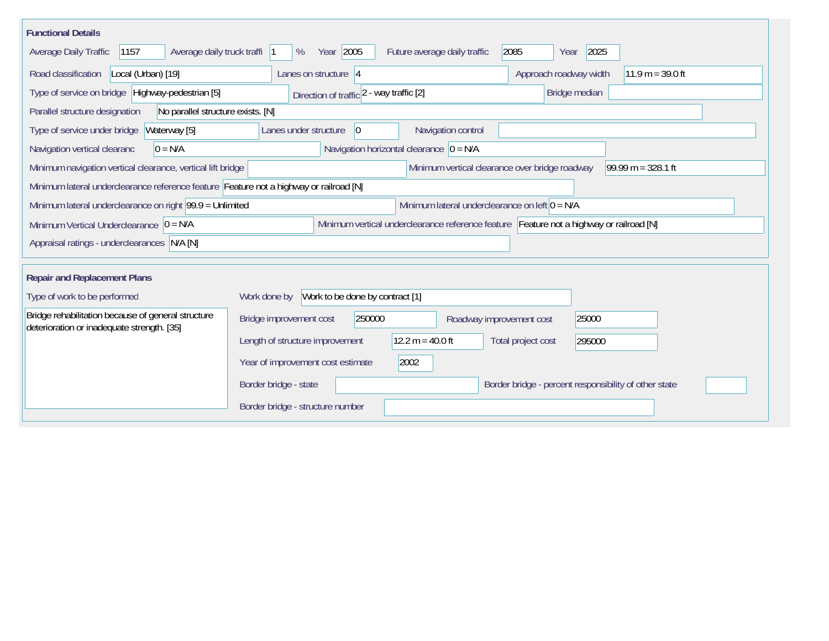| <b>Functional Details</b>                                                                                      |                                                                                         |  |  |  |  |  |  |
|----------------------------------------------------------------------------------------------------------------|-----------------------------------------------------------------------------------------|--|--|--|--|--|--|
| 1157<br>Average daily truck traffi  1<br>Average Daily Traffic                                                 | Year 2005<br>2085<br>2025<br>%<br>Future average daily traffic<br>Year                  |  |  |  |  |  |  |
| Road classification<br>Local (Urban) [19]                                                                      | Approach roadway width<br>$11.9 m = 39.0 ft$<br>Lanes on structure $ 4$                 |  |  |  |  |  |  |
| Type of service on bridge Highway-pedestrian [5]                                                               | Bridge median<br>Direction of traffic 2 - way traffic [2]                               |  |  |  |  |  |  |
| Parallel structure designation<br>No parallel structure exists. [N]                                            |                                                                                         |  |  |  |  |  |  |
| Waterway [5]<br>Type of service under bridge                                                                   | Navigation control<br>Lanes under structure<br>$\overline{0}$                           |  |  |  |  |  |  |
| Navigation vertical clearanc<br>$0 = N/A$                                                                      | Navigation horizontal clearance $ 0 = N/A $                                             |  |  |  |  |  |  |
| Minimum navigation vertical clearance, vertical lift bridge                                                    | Minimum vertical clearance over bridge roadway<br>99.99 m = $328.1$ ft                  |  |  |  |  |  |  |
|                                                                                                                | Minimum lateral underclearance reference feature Feature not a highway or railroad [N]  |  |  |  |  |  |  |
| Minimum lateral underclearance on left $0 = N/A$<br>Minimum lateral underclearance on right $99.9 =$ Unlimited |                                                                                         |  |  |  |  |  |  |
| Minimum Vertical Underclearance $ 0 = N/A$                                                                     | Minimum vertical underclearance reference feature Feature not a highway or railroad [N] |  |  |  |  |  |  |
| Appraisal ratings - underclearances N/A [N]                                                                    |                                                                                         |  |  |  |  |  |  |
|                                                                                                                |                                                                                         |  |  |  |  |  |  |
| <b>Repair and Replacement Plans</b>                                                                            |                                                                                         |  |  |  |  |  |  |
| Type of work to be performed                                                                                   | Work to be done by contract [1]<br>Work done by                                         |  |  |  |  |  |  |
| Bridge rehabilitation because of general structure<br>deterioration or inadequate strength. [35]               | 250000<br>25000<br>Bridge improvement cost<br>Roadway improvement cost                  |  |  |  |  |  |  |
|                                                                                                                | $12.2 m = 40.0 ft$<br>Length of structure improvement<br>Total project cost<br>295000   |  |  |  |  |  |  |
|                                                                                                                | Year of improvement cost estimate<br>2002                                               |  |  |  |  |  |  |
|                                                                                                                | Border bridge - state<br>Border bridge - percent responsibility of other state          |  |  |  |  |  |  |
|                                                                                                                | Border bridge - structure number                                                        |  |  |  |  |  |  |